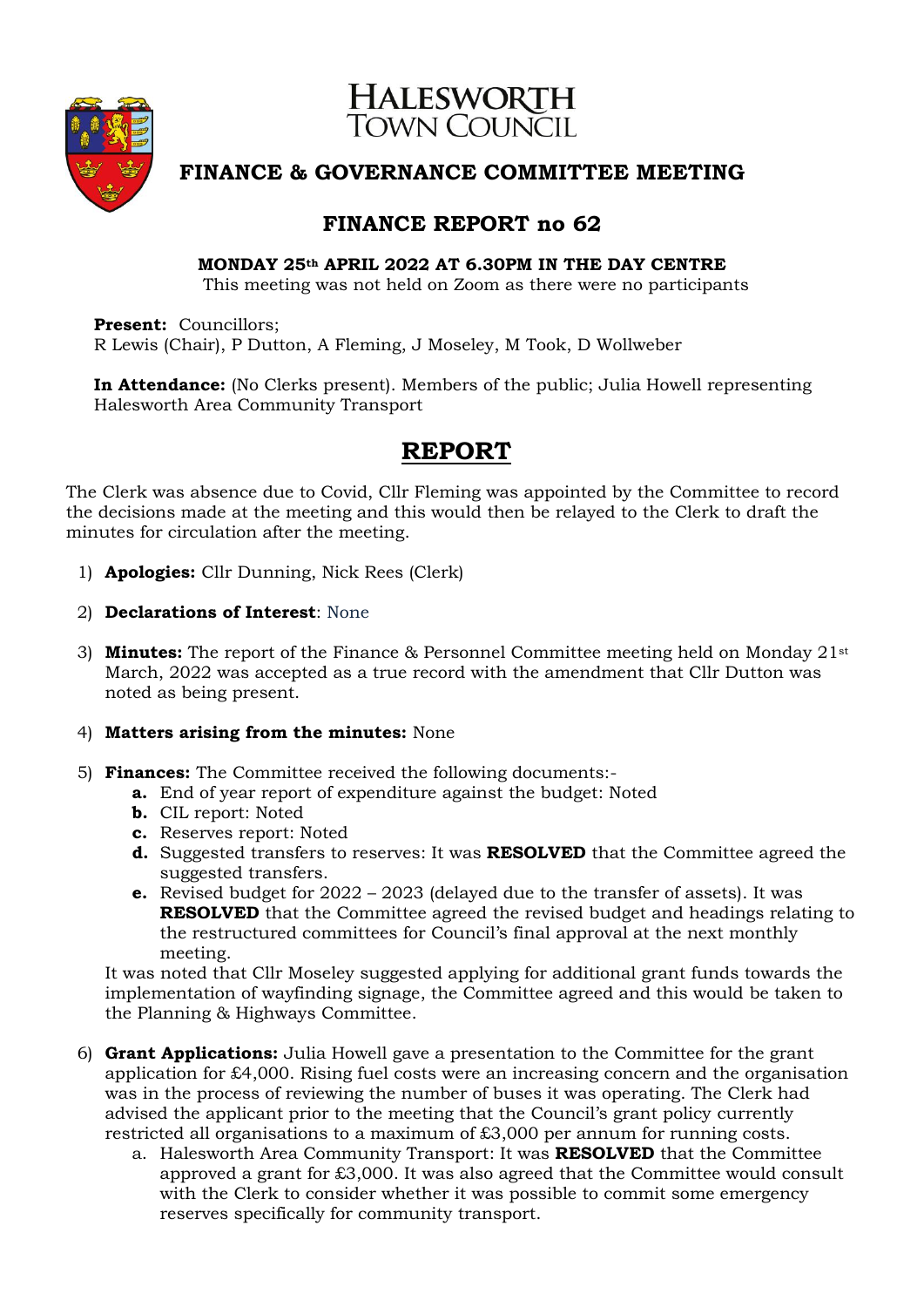

# **HALESWORTH**<br>TOWN COUNCIL

## **FINANCE & GOVERNANCE COMMITTEE MEETING**

## **FINANCE REPORT no 62**

### **MONDAY 25th APRIL 2022 AT 6.30PM IN THE DAY CENTRE**

This meeting was not held on Zoom as there were no participants

**Present:** Councillors; R Lewis (Chair), P Dutton, A Fleming, J Moseley, M Took, D Wollweber

**In Attendance:** (No Clerks present). Members of the public; Julia Howell representing Halesworth Area Community Transport

## **REPORT**

The Clerk was absence due to Covid, Cllr Fleming was appointed by the Committee to record the decisions made at the meeting and this would then be relayed to the Clerk to draft the minutes for circulation after the meeting.

- 1) **Apologies:** Cllr Dunning, Nick Rees (Clerk)
- 2) **Declarations of Interest**: None
- 3) **Minutes:** The report of the Finance & Personnel Committee meeting held on Monday 21st March, 2022 was accepted as a true record with the amendment that Cllr Dutton was noted as being present.
- 4) **Matters arising from the minutes:** None
- 5) **Finances:** The Committee received the following documents:
	- **a.** End of year report of expenditure against the budget: Noted
	- **b.** CIL report: Noted
	- **c.** Reserves report: Noted
	- **d.** Suggested transfers to reserves: It was **RESOLVED** that the Committee agreed the suggested transfers.
	- **e.** Revised budget for 2022 2023 (delayed due to the transfer of assets). It was **RESOLVED** that the Committee agreed the revised budget and headings relating to the restructured committees for Council's final approval at the next monthly meeting.

It was noted that Cllr Moseley suggested applying for additional grant funds towards the implementation of wayfinding signage, the Committee agreed and this would be taken to the Planning & Highways Committee.

- 6) **Grant Applications:** Julia Howell gave a presentation to the Committee for the grant application for £4,000. Rising fuel costs were an increasing concern and the organisation was in the process of reviewing the number of buses it was operating. The Clerk had advised the applicant prior to the meeting that the Council's grant policy currently restricted all organisations to a maximum of £3,000 per annum for running costs.
	- a. Halesworth Area Community Transport: It was **RESOLVED** that the Committee approved a grant for £3,000. It was also agreed that the Committee would consult with the Clerk to consider whether it was possible to commit some emergency reserves specifically for community transport.